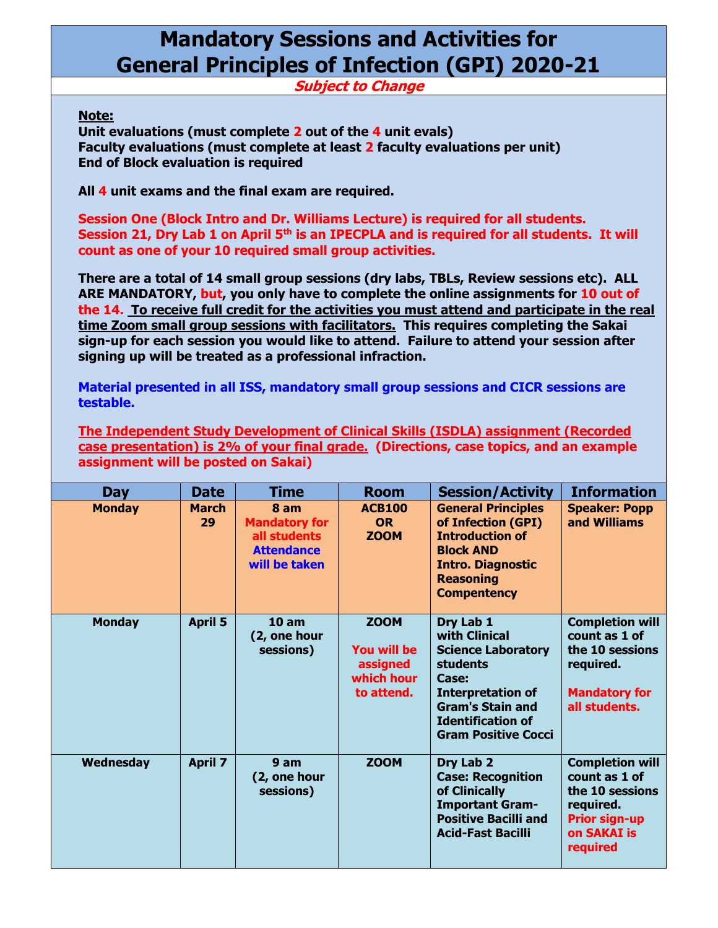## **Mandatory Sessions and Activities for General Principles of Infection (GPI) 2020-21**

**Subject to Change**

## **Note:**

**Unit evaluations (must complete 2 out of the 4 unit evals) Faculty evaluations (must complete at least 2 faculty evaluations per unit) End of Block evaluation is required**

**All 4 unit exams and the final exam are required.**

**Session One (Block Intro and Dr. Williams Lecture) is required for all students. Session 21, Dry Lab 1 on April 5th is an IPECPLA and is required for all students. It will count as one of your 10 required small group activities.**

**There are a total of 14 small group sessions (dry labs, TBLs, Review sessions etc). ALL ARE MANDATORY, but, you only have to complete the online assignments for 10 out of the 14. To receive full credit for the activities you must attend and participate in the real time Zoom small group sessions with facilitators. This requires completing the Sakai sign-up for each session you would like to attend. Failure to attend your session after signing up will be treated as a professional infraction.**

**Material presented in all ISS, mandatory small group sessions and CICR sessions are testable.**

**The Independent Study Development of Clinical Skills (ISDLA) assignment (Recorded case presentation) is 2% of your final grade. (Directions, case topics, and an example assignment will be posted on Sakai)**

| Day           | <b>Date</b>        | <b>Time</b>                                                                        | <b>Room</b>                                                        | <b>Session/Activity</b>                                                                                                                                                                              | <b>Information</b>                                                                                                         |
|---------------|--------------------|------------------------------------------------------------------------------------|--------------------------------------------------------------------|------------------------------------------------------------------------------------------------------------------------------------------------------------------------------------------------------|----------------------------------------------------------------------------------------------------------------------------|
| <b>Monday</b> | <b>March</b><br>29 | 8 am<br><b>Mandatory for</b><br>all students<br><b>Attendance</b><br>will be taken | <b>ACB100</b><br><b>OR</b><br><b>ZOOM</b>                          | <b>General Principles</b><br>of Infection (GPI)<br><b>Introduction of</b><br><b>Block AND</b><br><b>Intro. Diagnostic</b><br><b>Reasoning</b><br><b>Compentency</b>                                  | <b>Speaker: Popp</b><br>and Williams                                                                                       |
| <b>Monday</b> | <b>April 5</b>     | 10 <sub>am</sub><br>(2, one hour<br>sessions)                                      | <b>ZOOM</b><br>You will be<br>assigned<br>which hour<br>to attend. | Dry Lab 1<br>with Clinical<br><b>Science Laboratory</b><br><b>students</b><br>Case:<br><b>Interpretation of</b><br><b>Gram's Stain and</b><br><b>Identification of</b><br><b>Gram Positive Cocci</b> | <b>Completion will</b><br>count as 1 of<br>the 10 sessions<br>required.<br><b>Mandatory for</b><br>all students.           |
| Wednesday     | <b>April 7</b>     | 9 am<br>(2, one hour<br>sessions)                                                  | <b>ZOOM</b>                                                        | Dry Lab 2<br><b>Case: Recognition</b><br>of Clinically<br><b>Important Gram-</b><br><b>Positive Bacilli and</b><br><b>Acid-Fast Bacilli</b>                                                          | <b>Completion will</b><br>count as 1 of<br>the 10 sessions<br>required.<br><b>Prior sign-up</b><br>on SAKAI is<br>required |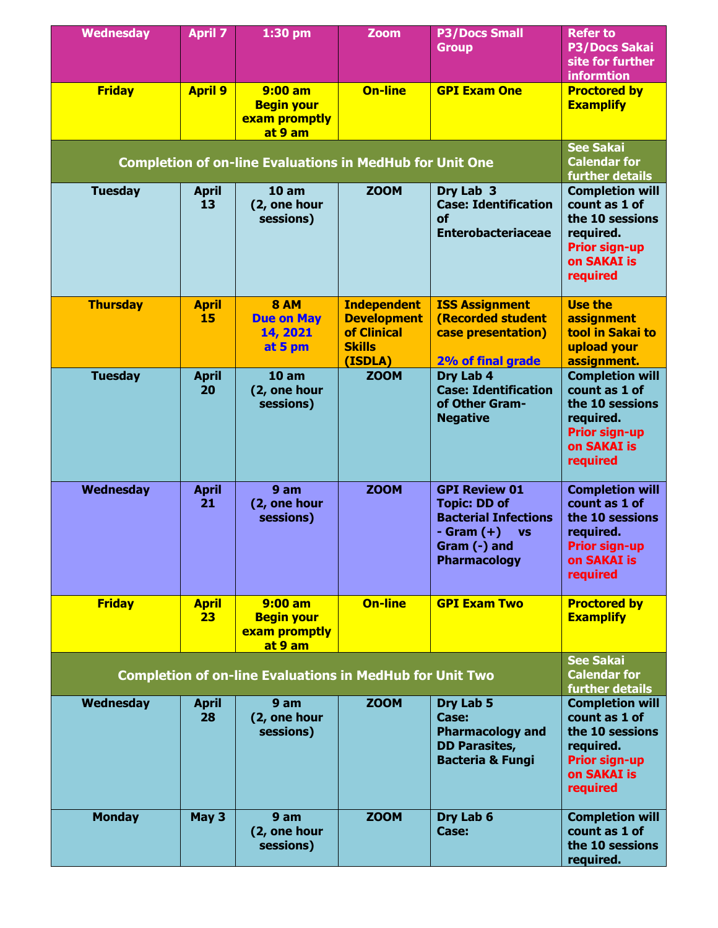| <b>Wednesday</b>                                                | <b>April 7</b>     | $1:30$ pm                                                       | <b>Zoom</b>                                                                         | <b>P3/Docs Small</b><br><b>Group</b>                                                                                                           | <b>Refer to</b><br><b>P3/Docs Sakai</b><br>site for further<br><b>informtion</b>                                                  |
|-----------------------------------------------------------------|--------------------|-----------------------------------------------------------------|-------------------------------------------------------------------------------------|------------------------------------------------------------------------------------------------------------------------------------------------|-----------------------------------------------------------------------------------------------------------------------------------|
| <b>Friday</b>                                                   | <b>April 9</b>     | $9:00$ am<br><b>Begin your</b><br>exam promptly<br>at 9 am      | <b>On-line</b>                                                                      | <b>GPI Exam One</b>                                                                                                                            | <b>Proctored by</b><br><b>Examplify</b>                                                                                           |
|                                                                 |                    | <b>Completion of on-line Evaluations in MedHub for Unit One</b> |                                                                                     |                                                                                                                                                | <b>See Sakai</b><br><b>Calendar for</b><br>further details                                                                        |
| <b>Tuesday</b>                                                  | <b>April</b><br>13 | 10 <sub>am</sub><br>(2, one hour<br>sessions)                   | <b>ZOOM</b>                                                                         | Dry Lab 3<br><b>Case: Identification</b><br>οf<br><b>Enterobacteriaceae</b>                                                                    | <b>Completion will</b><br>count as 1 of<br>the 10 sessions<br>required.<br><b>Prior sign-up</b><br><b>on SAKAI is</b><br>required |
| <b>Thursday</b>                                                 | <b>April</b><br>15 | <b>8 AM</b><br><b>Due on May</b><br>14, 2021<br>at 5 pm         | <b>Independent</b><br><b>Development</b><br>of Clinical<br><b>Skills</b><br>(ISDLA) | <b>ISS Assignment</b><br><b>(Recorded student</b><br>case presentation)<br>2% of final grade                                                   | <b>Use the</b><br>assignment<br>tool in Sakai to<br>upload your<br>assignment.                                                    |
| <b>Tuesday</b>                                                  | <b>April</b><br>20 | 10 <sub>am</sub><br>(2, one hour<br>sessions)                   | <b>ZOOM</b>                                                                         | Dry Lab 4<br><b>Case: Identification</b><br>of Other Gram-<br><b>Negative</b>                                                                  | <b>Completion will</b><br>count as 1 of<br>the 10 sessions<br>required.<br><b>Prior sign-up</b><br>on SAKAI is<br>required        |
| Wednesday                                                       | <b>April</b><br>21 | 9 am<br>(2, one hour<br>sessions)                               | <b>ZOOM</b>                                                                         | <b>GPI Review 01</b><br><b>Topic: DD of</b><br><b>Bacterial Infections</b><br>- Gram $(+)$<br><b>VS</b><br>Gram (-) and<br><b>Pharmacology</b> | <b>Completion will</b><br>count as 1 of<br>the 10 sessions<br>required.<br><b>Prior sign-up</b><br>on SAKAI is<br>required        |
| <b>Friday</b>                                                   | <b>April</b><br>23 | $9:00$ am<br><b>Begin your</b><br>exam promptly<br>at 9 am      | <b>On-line</b>                                                                      | <b>GPI Exam Two</b>                                                                                                                            | <b>Proctored by</b><br><b>Examplify</b>                                                                                           |
| <b>Completion of on-line Evaluations in MedHub for Unit Two</b> |                    |                                                                 |                                                                                     |                                                                                                                                                | <b>See Sakai</b><br><b>Calendar for</b><br>further details                                                                        |
| Wednesday                                                       | <b>April</b><br>28 | 9 am<br>(2, one hour<br>sessions)                               | <b>ZOOM</b>                                                                         | Dry Lab 5<br>Case:<br><b>Pharmacology and</b><br><b>DD Parasites,</b><br><b>Bacteria &amp; Fungi</b>                                           | <b>Completion will</b><br>count as 1 of<br>the 10 sessions<br>required.<br><b>Prior sign-up</b><br>on SAKAI is<br>required        |
| <b>Monday</b>                                                   | May 3              | 9 am<br>(2, one hour<br>sessions)                               | <b>ZOOM</b>                                                                         | Dry Lab 6<br>Case:                                                                                                                             | <b>Completion will</b><br>count as 1 of<br>the 10 sessions<br>required.                                                           |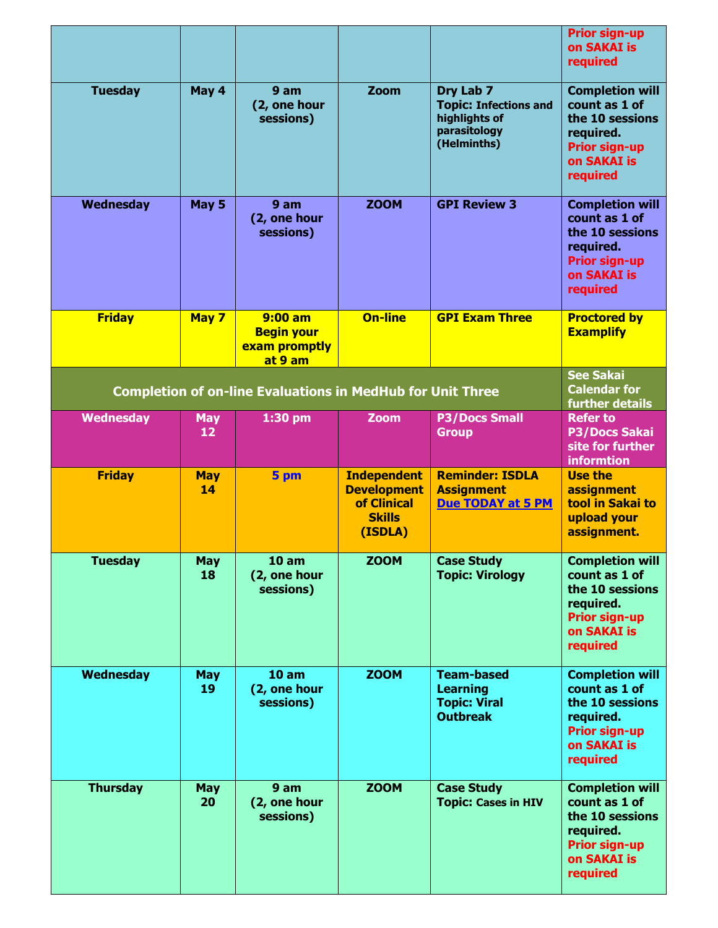|                |                  |                                                                   |                                                                                     |                                                                                           | <b>Prior sign-up</b><br>on SAKAI is<br>required                                                                                   |
|----------------|------------------|-------------------------------------------------------------------|-------------------------------------------------------------------------------------|-------------------------------------------------------------------------------------------|-----------------------------------------------------------------------------------------------------------------------------------|
| <b>Tuesday</b> | May 4            | 9 <sub>am</sub><br>(2, one hour<br>sessions)                      | Zoom                                                                                | Dry Lab 7<br><b>Topic: Infections and</b><br>highlights of<br>parasitology<br>(Helminths) | <b>Completion will</b><br>count as 1 of<br>the 10 sessions<br>required.<br><b>Prior sign-up</b><br>on SAKAI is<br>required        |
| Wednesday      | May 5            | 9 am<br>(2, one hour<br>sessions)                                 | <b>ZOOM</b>                                                                         | <b>GPI Review 3</b>                                                                       | <b>Completion will</b><br>count as 1 of<br>the 10 sessions<br>required.<br><b>Prior sign-up</b><br>on SAKAI is<br>required        |
| <b>Friday</b>  | May 7            | $9:00$ am<br><b>Begin your</b><br>exam promptly<br>at 9 am        | <b>On-line</b>                                                                      | <b>GPI Exam Three</b>                                                                     | <b>Proctored by</b><br><b>Examplify</b>                                                                                           |
|                |                  | <b>Completion of on-line Evaluations in MedHub for Unit Three</b> |                                                                                     |                                                                                           | <b>See Sakai</b><br><b>Calendar for</b><br>further details                                                                        |
| Wednesday      | <b>May</b><br>12 | 1:30 pm                                                           | <b>Zoom</b>                                                                         | <b>P3/Docs Small</b><br><b>Group</b>                                                      | <b>Refer to</b><br><b>P3/Docs Sakai</b><br>site for further<br><b>informtion</b>                                                  |
|                |                  |                                                                   |                                                                                     |                                                                                           |                                                                                                                                   |
| <b>Friday</b>  | <b>May</b><br>14 | 5 pm                                                              | <b>Independent</b><br><b>Development</b><br>of Clinical<br><b>Skills</b><br>(ISDLA) | <b>Reminder: ISDLA</b><br><b>Assignment</b><br><b>Due TODAY at 5 PM</b>                   | <b>Use the</b><br>assignment<br>tool in Sakai to<br>upload your<br>assignment.                                                    |
| <b>Tuesday</b> | <b>May</b><br>18 | 10 <sub>am</sub><br>(2, one hour<br>sessions)                     | <b>ZOOM</b>                                                                         | <b>Case Study</b><br><b>Topic: Virology</b>                                               | <b>Completion will</b><br>count as 1 of<br>the 10 sessions<br>required.<br><b>Prior sign-up</b><br><b>on SAKAI is</b><br>required |
| Wednesday      | <b>May</b><br>19 | 10 <sub>am</sub><br>(2, one hour<br>sessions)                     | <b>ZOOM</b>                                                                         | <b>Team-based</b><br><b>Learning</b><br><b>Topic: Viral</b><br><b>Outbreak</b>            | <b>Completion will</b><br>count as 1 of<br>the 10 sessions<br>required.<br><b>Prior sign-up</b><br><b>on SAKAI is</b><br>required |